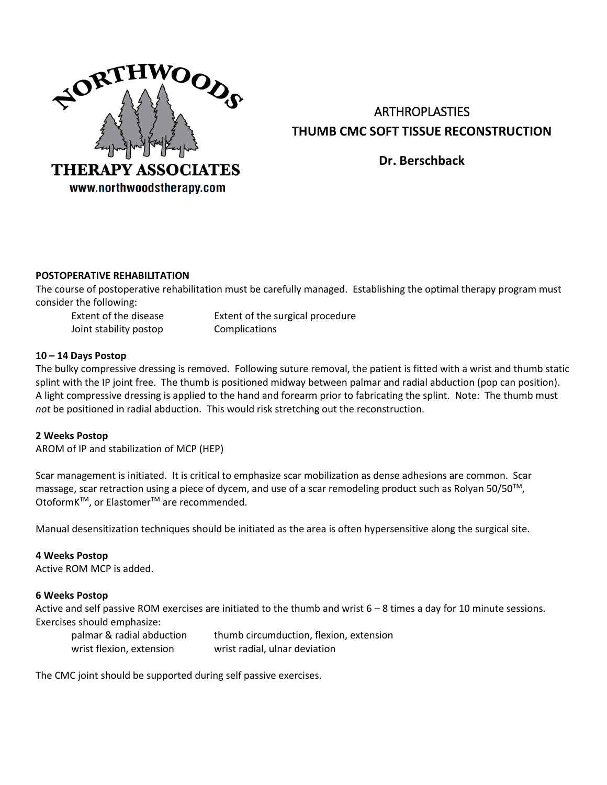

# ARTHROPLASTIES **THUMB CMC SOFT TISSUE RECONSTRUCTION**

**Dr. Berschback**

## **POSTOPERATIVE REHABILITATION**

The course of postoperative rehabilitation must be carefully managed. Establishing the optimal therapy program must consider the following:

Joint stability postop Complications

Extent of the disease Extent of the surgical procedure

## **10 – 14 Days Postop**

The bulky compressive dressing is removed. Following suture removal, the patient is fitted with a wrist and thumb static splint with the IP joint free. The thumb is positioned midway between palmar and radial abduction (pop can position). A light compressive dressing is applied to the hand and forearm prior to fabricating the splint. Note: The thumb must *not* be positioned in radial abduction. This would risk stretching out the reconstruction.

## **2 Weeks Postop**

AROM of IP and stabilization of MCP (HEP)

Scar management is initiated. It is critical to emphasize scar mobilization as dense adhesions are common. Scar massage, scar retraction using a piece of dycem, and use of a scar remodeling product such as Rolyan 50/50™, OtoformK<sup>™</sup>, or Elastomer<sup>™</sup> are recommended.

Manual desensitization techniques should be initiated as the area is often hypersensitive along the surgical site.

## **4 Weeks Postop**

Active ROM MCP is added.

## **6 Weeks Postop**

Active and self passive ROM exercises are initiated to the thumb and wrist 6 – 8 times a day for 10 minute sessions. Exercises should emphasize:

| palmar & radial abduction | thumb circumduction, flexion, extension |
|---------------------------|-----------------------------------------|
| wrist flexion, extension  | wrist radial, ulnar deviation           |

The CMC joint should be supported during self passive exercises.